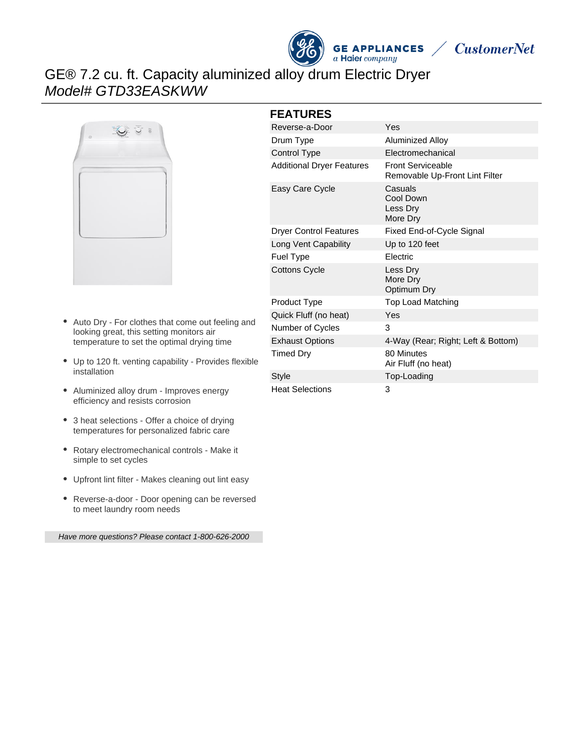



# GE® 7.2 cu. ft. Capacity aluminized alloy drum Electric Dryer Model# GTD33EASKWW



- Auto Dry For clothes that come out feeling and looking great, this setting monitors air temperature to set the optimal drying time
- Up to 120 ft. venting capability Provides flexible installation
- Aluminized alloy drum Improves energy efficiency and resists corrosion
- 3 heat selections Offer a choice of drying temperatures for personalized fabric care
- Rotary electromechanical controls Make it simple to set cycles
- Upfront lint filter Makes cleaning out lint easy
- Reverse-a-door Door opening can be reversed to meet laundry room needs

Have more questions? Please contact 1-800-626-2000

#### **FEATURES**

| Reverse-a-Door                   | Yes                                                        |
|----------------------------------|------------------------------------------------------------|
| Drum Type                        | <b>Aluminized Alloy</b>                                    |
| Control Type                     | Electromechanical                                          |
| <b>Additional Dryer Features</b> | <b>Front Serviceable</b><br>Removable Up-Front Lint Filter |
| Easy Care Cycle                  | Casuals<br>Cool Down<br>Less Dry<br>More Dry               |
| <b>Dryer Control Features</b>    | Fixed End-of-Cycle Signal                                  |
| Long Vent Capability             | Up to 120 feet                                             |
| Fuel Type                        | Electric                                                   |
| <b>Cottons Cycle</b>             | Less Dry<br>More Dry<br>Optimum Dry                        |
| Product Type                     | Top Load Matching                                          |
| Quick Fluff (no heat)            | Yes                                                        |
| Number of Cycles                 | 3                                                          |
| <b>Exhaust Options</b>           | 4-Way (Rear; Right; Left & Bottom)                         |
| Timed Dry                        | 80 Minutes<br>Air Fluff (no heat)                          |
| <b>Style</b>                     | Top-Loading                                                |
| <b>Heat Selections</b>           | 3                                                          |